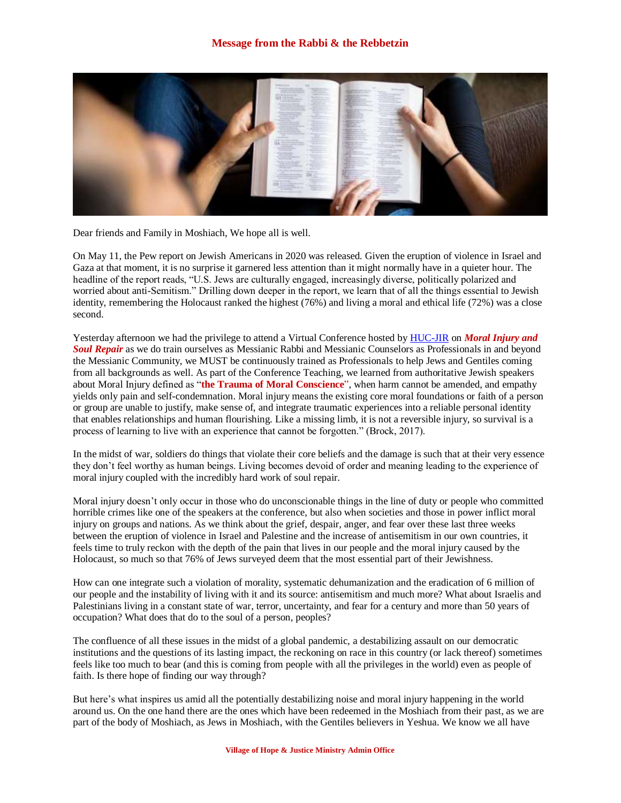

Dear friends and Family in Moshiach, We hope all is well.

On May 11, the Pew report on Jewish Americans in 2020 was released. Given the eruption of violence in Israel and Gaza at that moment, it is no surprise it garnered less attention than it might normally have in a quieter hour. The headline of the report reads, "U.S. Jews are culturally engaged, increasingly diverse, politically polarized and worried about anti-Semitism." Drilling down deeper in the report, we learn that of all the things essential to Jewish identity, remembering the Holocaust ranked the highest (76%) and living a moral and ethical life (72%) was a close second.

Yesterday afternoon we had the privilege to attend a Virtual Conference hosted b[y HUC-JIR](http://huc.edu/moral-injury-soul-repair-jewish-perspective) on *Moral Injury and Soul Repair* as we do train ourselves as Messianic Rabbi and Messianic Counselors as Professionals in and beyond the Messianic Community, we MUST be continuously trained as Professionals to help Jews and Gentiles coming from all backgrounds as well. As part of the Conference Teaching, we learned from authoritative Jewish speakers about Moral Injury defined as "**the Trauma of Moral Conscience**", when harm cannot be amended, and empathy yields only pain and self-condemnation. Moral injury means the existing core moral foundations or faith of a person or group are unable to justify, make sense of, and integrate traumatic experiences into a reliable personal identity that enables relationships and human flourishing. Like a missing limb, it is not a reversible injury, so survival is a process of learning to live with an experience that cannot be forgotten." (Brock, 2017).

In the midst of war, soldiers do things that violate their core beliefs and the damage is such that at their very essence they don't feel worthy as human beings. Living becomes devoid of order and meaning leading to the experience of moral injury coupled with the incredibly hard work of soul repair.

Moral injury doesn't only occur in those who do unconscionable things in the line of duty or people who committed horrible crimes like one of the speakers at the conference, but also when societies and those in power inflict moral injury on groups and nations. As we think about the grief, despair, anger, and fear over these last three weeks between the eruption of violence in Israel and Palestine and the increase of antisemitism in our own countries, it feels time to truly reckon with the depth of the pain that lives in our people and the moral injury caused by the Holocaust, so much so that 76% of Jews surveyed deem that the most essential part of their Jewishness.

How can one integrate such a violation of morality, systematic dehumanization and the eradication of 6 million of our people and the instability of living with it and its source: antisemitism and much more? What about Israelis and Palestinians living in a constant state of war, terror, uncertainty, and fear for a century and more than 50 years of occupation? What does that do to the soul of a person, peoples?

The confluence of all these issues in the midst of a global pandemic, a destabilizing assault on our democratic institutions and the questions of its lasting impact, the reckoning on race in this country (or lack thereof) sometimes feels like too much to bear (and this is coming from people with all the privileges in the world) even as people of faith. Is there hope of finding our way through?

But here's what inspires us amid all the potentially destabilizing noise and moral injury happening in the world around us. On the one hand there are the ones which have been redeemed in the Moshiach from their past, as we are part of the body of Moshiach, as Jews in Moshiach, with the Gentiles believers in Yeshua. We know we all have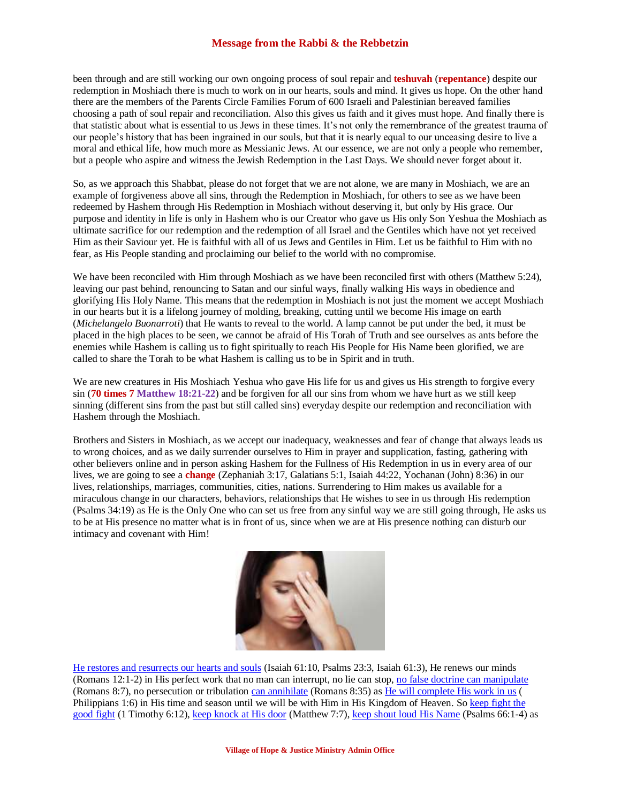## **Message from the Rabbi & the Rebbetzin**

been through and are still working our own ongoing process of soul repair and **teshuvah** (**repentance**) despite our redemption in Moshiach there is much to work on in our hearts, souls and mind. It gives us hope. On the other hand there are the members of the Parents Circle Families Forum of 600 Israeli and Palestinian bereaved families choosing a path of soul repair and reconciliation. Also this gives us faith and it gives must hope. And finally there is that statistic about what is essential to us Jews in these times. It's not only the remembrance of the greatest trauma of our people's history that has been ingrained in our souls, but that it is nearly equal to our unceasing desire to live a moral and ethical life, how much more as Messianic Jews. At our essence, we are not only a people who remember, but a people who aspire and witness the Jewish Redemption in the Last Days. We should never forget about it.

So, as we approach this Shabbat, please do not forget that we are not alone, we are many in Moshiach, we are an example of forgiveness above all sins, through the Redemption in Moshiach, for others to see as we have been redeemed by Hashem through His Redemption in Moshiach without deserving it, but only by His grace. Our purpose and identity in life is only in Hashem who is our Creator who gave us His only Son Yeshua the Moshiach as ultimate sacrifice for our redemption and the redemption of all Israel and the Gentiles which have not yet received Him as their Saviour yet. He is faithful with all of us Jews and Gentiles in Him. Let us be faithful to Him with no fear, as His People standing and proclaiming our belief to the world with no compromise.

We have been reconciled with Him through Moshiach as we have been reconciled first with others (Matthew 5:24), leaving our past behind, renouncing to Satan and our sinful ways, finally walking His ways in obedience and glorifying His Holy Name. This means that the redemption in Moshiach is not just the moment we accept Moshiach in our hearts but it is a lifelong journey of molding, breaking, cutting until we become His image on earth (*Michelangelo Buonarroti*) that He wants to reveal to the world. A lamp cannot be put under the bed, it must be placed in the high places to be seen, we cannot be afraid of His Torah of Truth and see ourselves as ants before the enemies while Hashem is calling us to fight spiritually to reach His People for His Name been glorified, we are called to share the Torah to be what Hashem is calling us to be in Spirit and in truth.

We are new creatures in His Moshiach Yeshua who gave His life for us and gives us His strength to forgive every sin (**70 times 7 Matthew 18:21-22**) and be forgiven for all our sins from whom we have hurt as we still keep sinning (different sins from the past but still called sins) everyday despite our redemption and reconciliation with Hashem through the Moshiach.

Brothers and Sisters in Moshiach, as we accept our inadequacy, weaknesses and fear of change that always leads us to wrong choices, and as we daily surrender ourselves to Him in prayer and supplication, fasting, gathering with other believers online and in person asking Hashem for the Fullness of His Redemption in us in every area of our lives, we are going to see a **change** (Zephaniah 3:17, Galatians 5:1, Isaiah 44:22, Yochanan (John) 8:36) in our lives, relationships, marriages, communities, cities, nations. Surrendering to Him makes us available for a miraculous change in our characters, behaviors, relationships that He wishes to see in us through His redemption (Psalms 34:19) as He is the Only One who can set us free from any sinful way we are still going through, He asks us to be at His presence no matter what is in front of us, since when we are at His presence nothing can disturb our intimacy and covenant with Him!



[He restores and resurrects](https://biblehub.com/psalms/23-3.htm) our hearts and souls (Isaiah 61:10, Psalms 23:3, Isaiah 61:3), He renews our minds (Romans 12:1-2) in His perfect work that no man can interrupt, no lie can stop, [no false doctrine can manipulate](https://biblia.com/bible/esv/romans/8/7) (Romans 8:7), no persecution or tribulation [can annihilate](https://www.biblegateway.com/verse/en/Romans%208%3A35) (Romans 8:35) a[s He will complete His work in us](https://biblehub.com/philippians/1-6.htm) ( Philippians 1:6) in His time and season until we will be with Him in His Kingdom of Heaven. So [keep fight](https://biblehub.com/1_timothy/6-12.htm) the [good fight](https://biblehub.com/1_timothy/6-12.htm) (1 Timothy 6:12), [keep knock at His door](https://biblehub.com/matthew/7-7.htm) (Matthew 7:7), keep shout [loud His Name](https://www.bible.com/bible/111/PSA.66.1-4.NIV) (Psalms 66:1-4) as